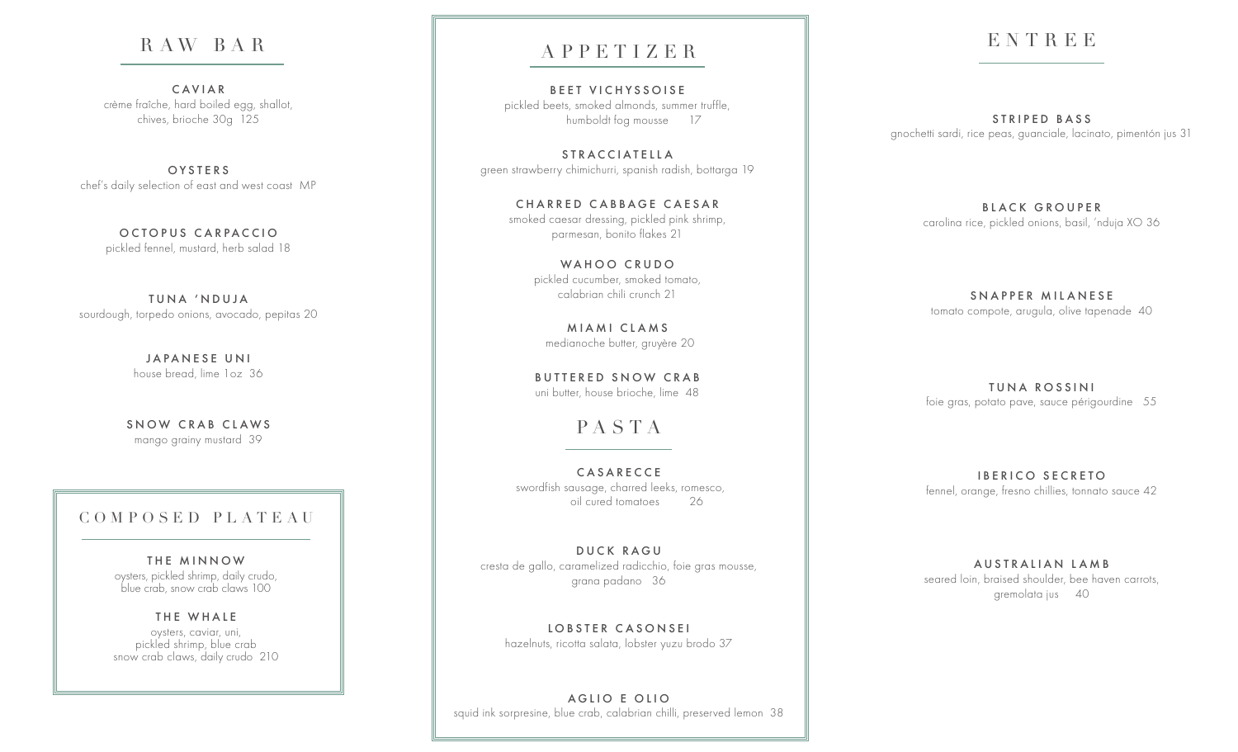## R AW BA R

CAVIAR crème fraîche, hard boiled egg, shallot, chives, brioche 30g 125

**OYSTERS** chef's daily selection of east and west coast MP

> OCTOPUS CARPACCIO pickled fennel, mustard, herb salad 18

TUNA 'NDUJA sourdough, torpedo onions, avocado, pepitas 20

> JAPANESE UNI house bread, lime 1oz 36

SNOW CRAB CLAWS mango grainy mustard 39

#### COMPOSED PLATEAU

THE MINNOW oysters, pickled shrimp, daily crudo, blue crab, snow crab claws 100

THE WHALE oysters, caviar, uni, pickled shrimp, blue crab snow crab claws, daily crudo 210

## APPETIZER

BEET VICHYSSOISE pickled beets, smoked almonds, summer truffle, humboldt fog mousse 17

S T R A C C I A T E L L A green strawberry chimichurri, spanish radish, bottarga 19

> CHARRED CABBAGE CAESAR smoked caesar dressing, pickled pink shrimp, parmesan, bonito flakes 21

> > WAHOO CRUDO pickled cucumber, smoked tomato, calabrian chili crunch 21

MIAMI CLAMS medianoche butter, gruyère 20

BUTTERED SNOW CRAB uni butter, house brioche, lime 48

# PASTA

CASARECCE swordfish sausage, charred leeks, romesco, oil cured tomatoes 26

DUCK RAGU cresta de gallo, caramelized radicchio, foie gras mousse, grana padano 36

LOBSTER CASONSEI hazelnuts, ricotta salata, lobster yuzu brodo 37

A G LIO E OLIO squid ink sorpresine, blue crab, calabrian chilli, preserved lemon 38

# ENTREE

STRIPED BASS gnochetti sardi, rice peas, guanciale, lacinato, pimentón jus 31

> BLACK GROUPER carolina rice, pickled onions, basil, 'nduja XO 36

SNAPPER MILANESE tomato compote, arugula, olive tapenade 40

TUNA ROSSINI foie gras, potato pave, sauce périgourdine 55

IBERICO SECRETO fennel, orange, fresno chillies, tonnato sauce 42

AUSTRALIAN LAMB seared loin, braised shoulder, bee haven carrots, gremolata jus 40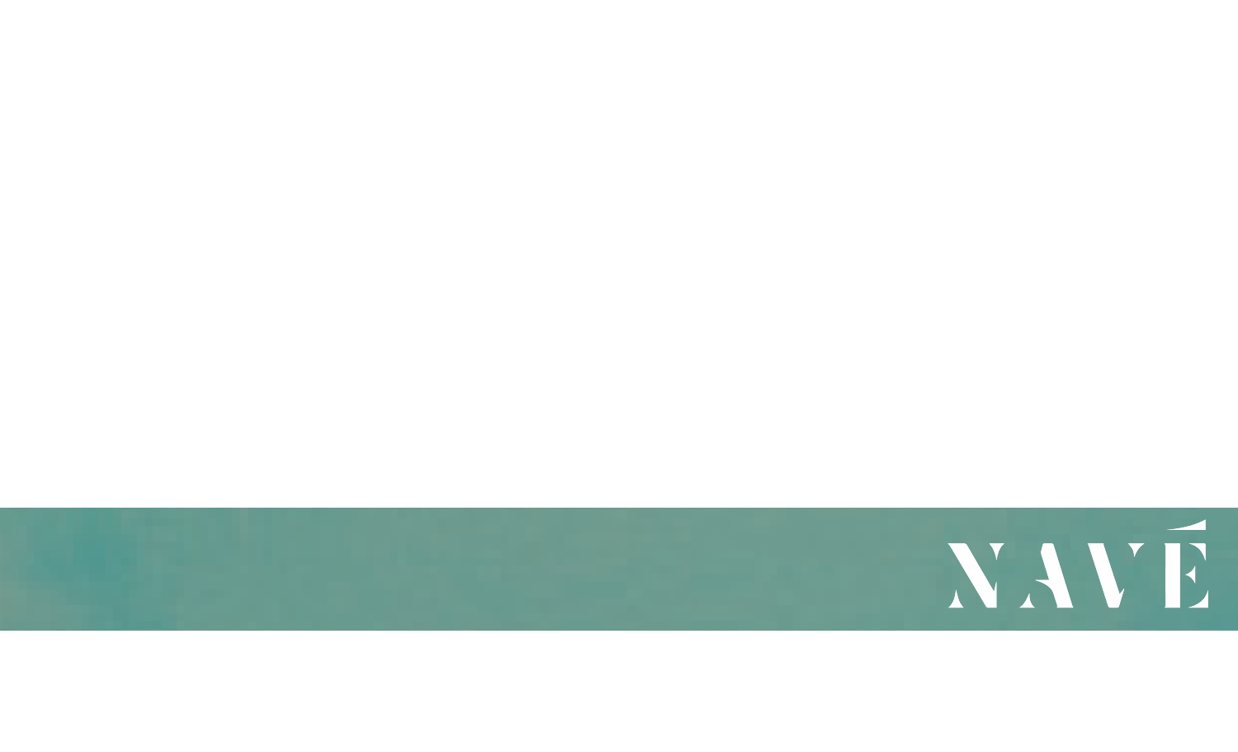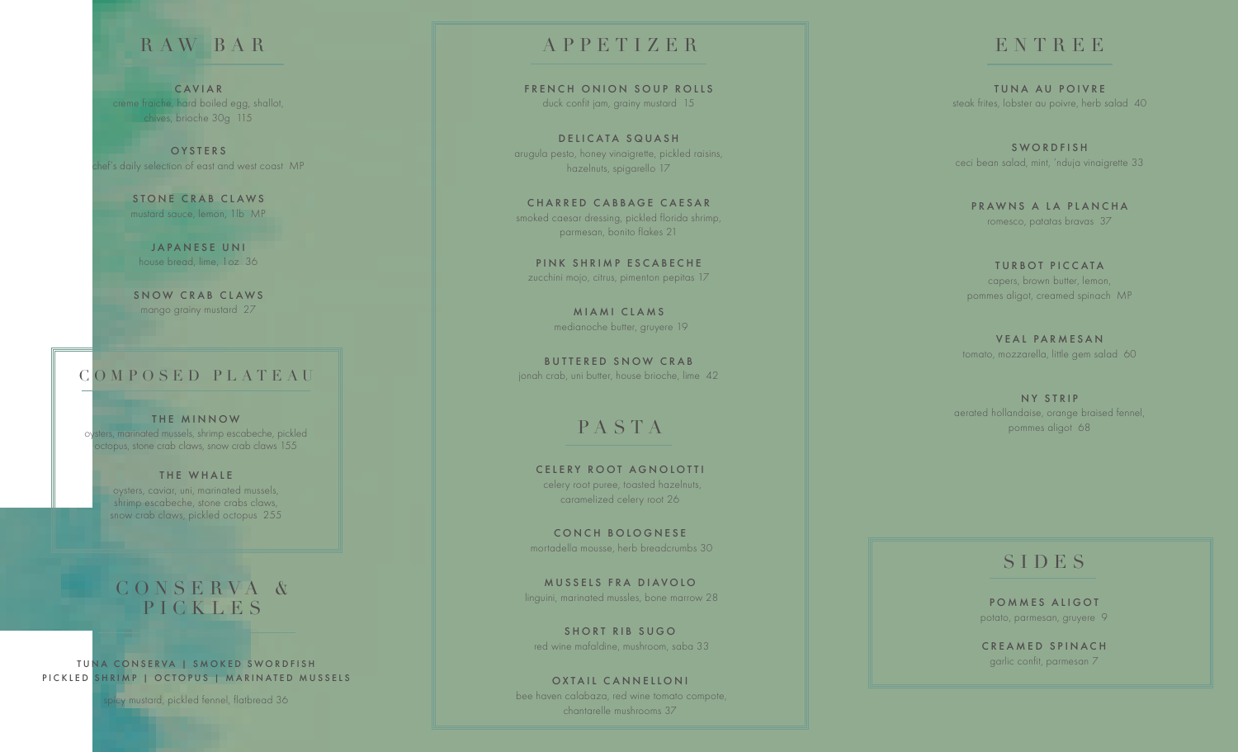#### R AW BA R

CAVIAR creme fraiche, hard boiled egg, shallot, chives, brioche 30g 115

OYSTERS nef's daily selection of east and west coast MP

> STONE CRAB CLAWS mustard sauce, lemon, 1lb MP

JAPANESE UNI house bread, lime, 1oz 36

SNOW CRAB CLAWS mango grainy mustard 27

#### COMPOSED PLATEAU

THE MINNOW oysters, marinated mussels, shrimp escabeche, pickled octopus, stone crab claws, snow crab claws 155

> THE WHALE oysters, caviar, uni, marinated mussels, shrimp escabeche, stone crabs claws, snow crab claws, pickled octopus 255

#### C O N S E R V A & PICKLES<sup>®</sup>

TUNA CONSERVA | SMOKED SWORDFISH PICKLED SHRIMP | OCTOPUS | MARINATED MUSSELS

picy mustard, pickled fennel, flatbread 36

#### APPETIZER

FRENCH ONION SOUP ROLLS duck confit jam, grainy mustard 15

D ELICATA SQUASH arugula pesto, honey vinaigrette, pickled raisins, hazelnuts, spigarello 17

CHARRED CABBAGE CAESAR smoked caesar dressing, pickled florida shrimp, parmesan, bonito flakes 21

PINK SHRIMP ESCABECHE zucchini mojo, citrus, pimenton pepitas 17

> MIAMI CLAMS medianoche butter, gruyere 19

BUTTERED SNOW CRAB jonah crab, uni butter, house brioche, lime 42

## PASTA

CELERY ROOT AGNOLOTTI celery root puree, toasted hazelnuts, caramelized celery root 26

CONCH BOLOGNESE mortadella mousse, herb breadcrumbs 30

MUSSELS FRA DIAVOLO linguini, marinated mussles, bone marrow 28

SHORT RIB SUGO red wine mafaldine, mushroom, saba 33

OXTAIL CANNELLONI bee haven calabaza, red wine tomato compote, chantarelle mushrooms 37

#### ENTREE

TUNA AU POIVRE steak frites, lobster au poivre, herb salad 40

SWORDFISH ceci bean salad, mint, 'nduja vinaigrette 33

PRAWNS A LA PLANCHA romesco, patatas bravas 37

TURBOT PICCATA capers, brown butter, lemon, pommes aligot, creamed spinach MP

VEAL PARMESAN tomato, mozzarella, little gem salad 60

NY STRIP aerated hollandaise, orange braised fennel, pommes aligot 68

#### **SIDES**

POMMES ALIGOT potato, parmesan, gruyere 9

CREAMED SPINACH garlic confit, parmesan 7